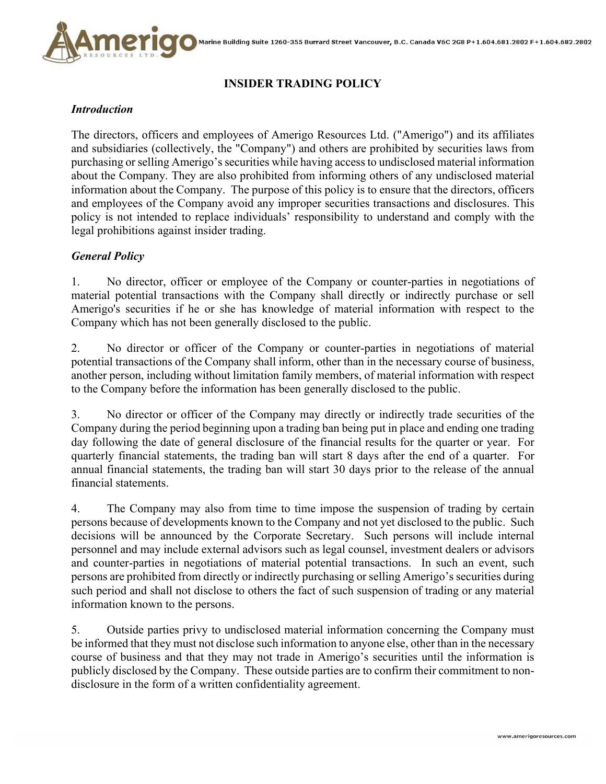

# **INSIDER TRADING POLICY**

#### *Introduction*

The directors, officers and employees of Amerigo Resources Ltd. ("Amerigo") and its affiliates and subsidiaries (collectively, the "Company") and others are prohibited by securities laws from purchasing or selling Amerigo's securities while having access to undisclosed material information about the Company. They are also prohibited from informing others of any undisclosed material information about the Company. The purpose of this policy is to ensure that the directors, officers and employees of the Company avoid any improper securities transactions and disclosures. This policy is not intended to replace individuals' responsibility to understand and comply with the legal prohibitions against insider trading.

## *General Policy*

1. No director, officer or employee of the Company or counter-parties in negotiations of material potential transactions with the Company shall directly or indirectly purchase or sell Amerigo's securities if he or she has knowledge of material information with respect to the Company which has not been generally disclosed to the public.

2. No director or officer of the Company or counter-parties in negotiations of material potential transactions of the Company shall inform, other than in the necessary course of business, another person, including without limitation family members, of material information with respect to the Company before the information has been generally disclosed to the public.

3. No director or officer of the Company may directly or indirectly trade securities of the Company during the period beginning upon a trading ban being put in place and ending one trading day following the date of general disclosure of the financial results for the quarter or year. For quarterly financial statements, the trading ban will start 8 days after the end of a quarter. For annual financial statements, the trading ban will start 30 days prior to the release of the annual financial statements.

4. The Company may also from time to time impose the suspension of trading by certain persons because of developments known to the Company and not yet disclosed to the public. Such decisions will be announced by the Corporate Secretary. Such persons will include internal personnel and may include external advisors such as legal counsel, investment dealers or advisors and counter-parties in negotiations of material potential transactions. In such an event, such persons are prohibited from directly or indirectly purchasing or selling Amerigo's securities during such period and shall not disclose to others the fact of such suspension of trading or any material information known to the persons.

5. Outside parties privy to undisclosed material information concerning the Company must be informed that they must not disclose such information to anyone else, other than in the necessary course of business and that they may not trade in Amerigo's securities until the information is publicly disclosed by the Company. These outside parties are to confirm their commitment to nondisclosure in the form of a written confidentiality agreement.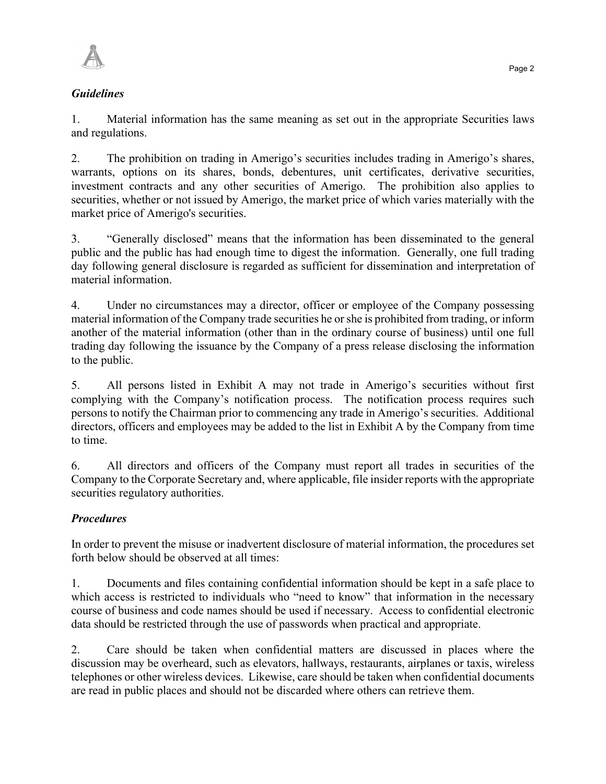

### *Guidelines*

1. Material information has the same meaning as set out in the appropriate Securities laws and regulations.

2. The prohibition on trading in Amerigo's securities includes trading in Amerigo's shares, warrants, options on its shares, bonds, debentures, unit certificates, derivative securities, investment contracts and any other securities of Amerigo. The prohibition also applies to securities, whether or not issued by Amerigo, the market price of which varies materially with the market price of Amerigo's securities.

3. "Generally disclosed" means that the information has been disseminated to the general public and the public has had enough time to digest the information. Generally, one full trading day following general disclosure is regarded as sufficient for dissemination and interpretation of material information.

4. Under no circumstances may a director, officer or employee of the Company possessing material information of the Company trade securities he or she is prohibited from trading, or inform another of the material information (other than in the ordinary course of business) until one full trading day following the issuance by the Company of a press release disclosing the information to the public.

5. All persons listed in Exhibit A may not trade in Amerigo's securities without first complying with the Company's notification process. The notification process requires such persons to notify the Chairman prior to commencing any trade in Amerigo's securities. Additional directors, officers and employees may be added to the list in Exhibit A by the Company from time to time.

6. All directors and officers of the Company must report all trades in securities of the Company to the Corporate Secretary and, where applicable, file insider reports with the appropriate securities regulatory authorities.

## *Procedures*

In order to prevent the misuse or inadvertent disclosure of material information, the procedures set forth below should be observed at all times:

1. Documents and files containing confidential information should be kept in a safe place to which access is restricted to individuals who "need to know" that information in the necessary course of business and code names should be used if necessary. Access to confidential electronic data should be restricted through the use of passwords when practical and appropriate.

2. Care should be taken when confidential matters are discussed in places where the discussion may be overheard, such as elevators, hallways, restaurants, airplanes or taxis, wireless telephones or other wireless devices. Likewise, care should be taken when confidential documents are read in public places and should not be discarded where others can retrieve them.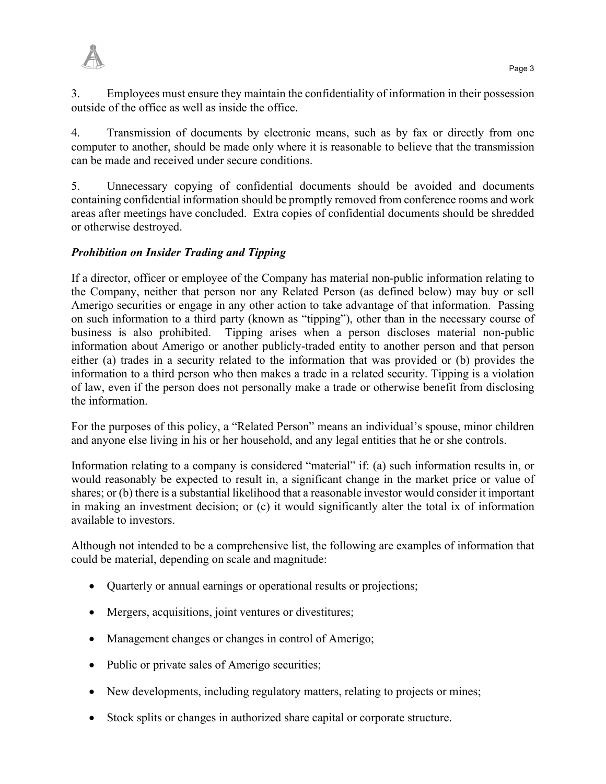

3. Employees must ensure they maintain the confidentiality of information in their possession outside of the office as well as inside the office.

4. Transmission of documents by electronic means, such as by fax or directly from one computer to another, should be made only where it is reasonable to believe that the transmission can be made and received under secure conditions.

5. Unnecessary copying of confidential documents should be avoided and documents containing confidential information should be promptly removed from conference rooms and work areas after meetings have concluded. Extra copies of confidential documents should be shredded or otherwise destroyed.

#### *Prohibition on Insider Trading and Tipping*

If a director, officer or employee of the Company has material non-public information relating to the Company, neither that person nor any Related Person (as defined below) may buy or sell Amerigo securities or engage in any other action to take advantage of that information. Passing on such information to a third party (known as "tipping"), other than in the necessary course of business is also prohibited. Tipping arises when a person discloses material non-public information about Amerigo or another publicly-traded entity to another person and that person either (a) trades in a security related to the information that was provided or (b) provides the information to a third person who then makes a trade in a related security. Tipping is a violation of law, even if the person does not personally make a trade or otherwise benefit from disclosing the information.

For the purposes of this policy, a "Related Person" means an individual's spouse, minor children and anyone else living in his or her household, and any legal entities that he or she controls.

Information relating to a company is considered "material" if: (a) such information results in, or would reasonably be expected to result in, a significant change in the market price or value of shares; or (b) there is a substantial likelihood that a reasonable investor would consider it important in making an investment decision; or (c) it would significantly alter the total ix of information available to investors.

Although not intended to be a comprehensive list, the following are examples of information that could be material, depending on scale and magnitude:

- Quarterly or annual earnings or operational results or projections;
- Mergers, acquisitions, joint ventures or divestitures;
- Management changes or changes in control of Amerigo;
- Public or private sales of Amerigo securities;
- New developments, including regulatory matters, relating to projects or mines;
- Stock splits or changes in authorized share capital or corporate structure.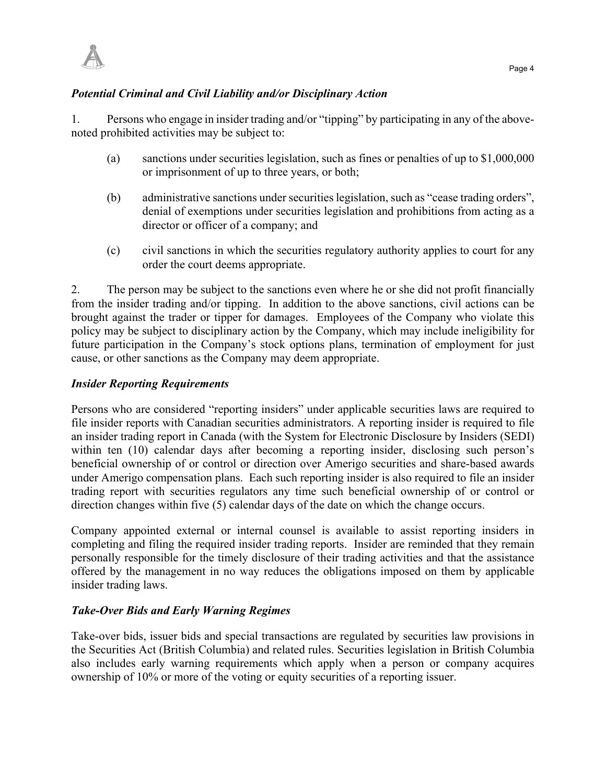

### *Potential Criminal and Civil Liability and/or Disciplinary Action*

1. Persons who engage in insider trading and/or "tipping" by participating in any of the abovenoted prohibited activities may be subject to:

- (a) sanctions under securities legislation, such as fines or penalties of up to \$1,000,000 or imprisonment of up to three years, or both;
- (b) administrative sanctions under securities legislation, such as "cease trading orders", denial of exemptions under securities legislation and prohibitions from acting as a director or officer of a company; and
- (c) civil sanctions in which the securities regulatory authority applies to court for any order the court deems appropriate.

2. The person may be subject to the sanctions even where he or she did not profit financially from the insider trading and/or tipping. In addition to the above sanctions, civil actions can be brought against the trader or tipper for damages. Employees of the Company who violate this policy may be subject to disciplinary action by the Company, which may include ineligibility for future participation in the Company's stock options plans, termination of employment for just cause, or other sanctions as the Company may deem appropriate.

#### *Insider Reporting Requirements*

Persons who are considered "reporting insiders" under applicable securities laws are required to file insider reports with Canadian securities administrators. A reporting insider is required to file an insider trading report in Canada (with the System for Electronic Disclosure by Insiders (SEDI) within ten (10) calendar days after becoming a reporting insider, disclosing such person's beneficial ownership of or control or direction over Amerigo securities and share-based awards under Amerigo compensation plans. Each such reporting insider is also required to file an insider trading report with securities regulators any time such beneficial ownership of or control or direction changes within five (5) calendar days of the date on which the change occurs.

Company appointed external or internal counsel is available to assist reporting insiders in completing and filing the required insider trading reports. Insider are reminded that they remain personally responsible for the timely disclosure of their trading activities and that the assistance offered by the management in no way reduces the obligations imposed on them by applicable insider trading laws.

#### *Take-Over Bids and Early Warning Regimes*

Take-over bids, issuer bids and special transactions are regulated by securities law provisions in the Securities Act (British Columbia) and related rules. Securities legislation in British Columbia also includes early warning requirements which apply when a person or company acquires ownership of 10% or more of the voting or equity securities of a reporting issuer.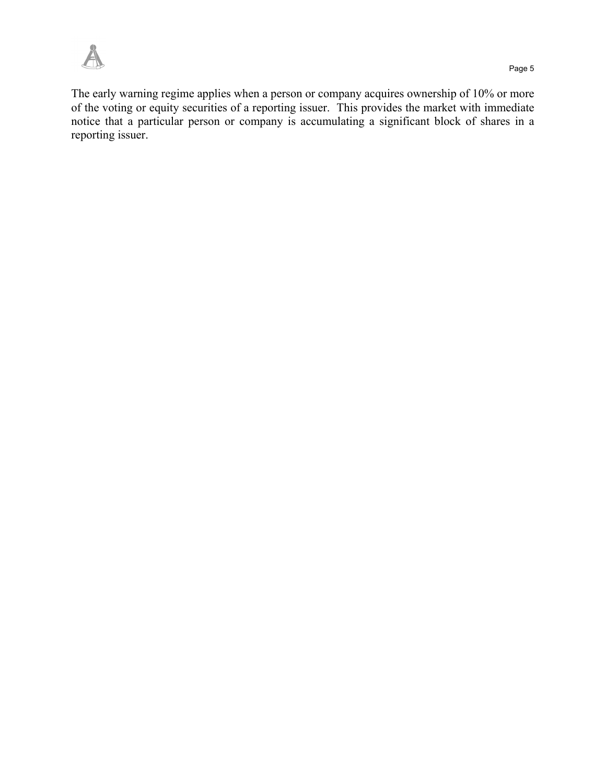

The early warning regime applies when a person or company acquires ownership of 10% or more of the voting or equity securities of a reporting issuer. This provides the market with immediate notice that a particular person or company is accumulating a significant block of shares in a reporting issuer.